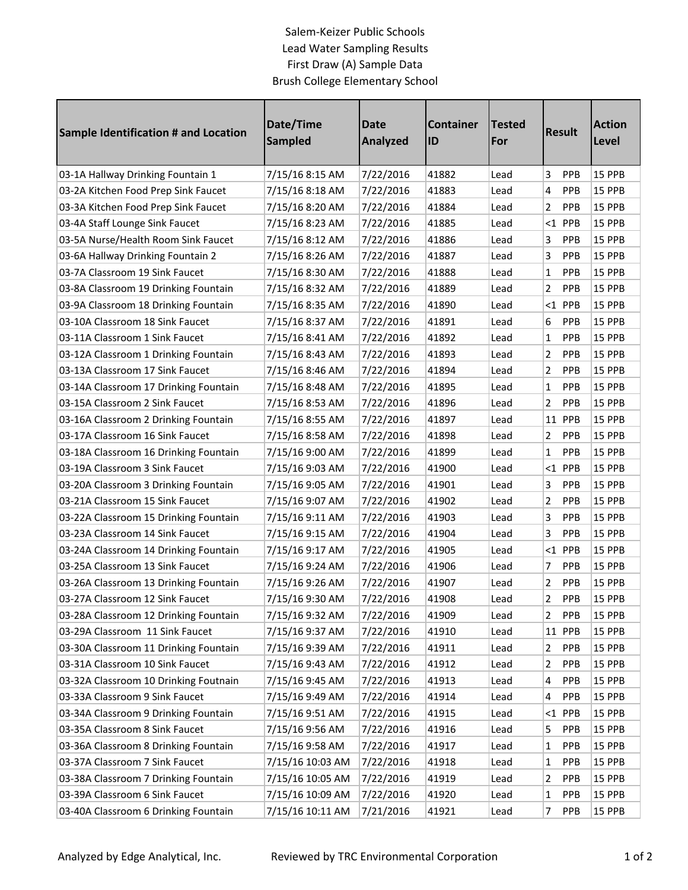## Salem-Keizer Public Schools Lead Water Sampling Results First Draw (A) Sample Data Brush College Elementary School

| <b>Sample Identification # and Location</b> | Date/Time<br><b>Sampled</b> | <b>Date</b><br><b>Analyzed</b> | <b>Container</b><br>ID | Tested<br>For | <b>Result</b>         | <b>Action</b><br><b>Level</b> |
|---------------------------------------------|-----------------------------|--------------------------------|------------------------|---------------|-----------------------|-------------------------------|
| 03-1A Hallway Drinking Fountain 1           | 7/15/16 8:15 AM             | 7/22/2016                      | 41882                  | Lead          | 3<br><b>PPB</b>       | 15 PPB                        |
| 03-2A Kitchen Food Prep Sink Faucet         | 7/15/16 8:18 AM             | 7/22/2016                      | 41883                  | Lead          | 4<br>PPB              | 15 PPB                        |
| 03-3A Kitchen Food Prep Sink Faucet         | 7/15/16 8:20 AM             | 7/22/2016                      | 41884                  | Lead          | 2<br>PPB              | 15 PPB                        |
| 03-4A Staff Lounge Sink Faucet              | 7/15/16 8:23 AM             | 7/22/2016                      | 41885                  | Lead          | $<$ 1 PPB             | 15 PPB                        |
| 03-5A Nurse/Health Room Sink Faucet         | 7/15/16 8:12 AM             | 7/22/2016                      | 41886                  | Lead          | 3<br>PPB              | 15 PPB                        |
| 03-6A Hallway Drinking Fountain 2           | 7/15/16 8:26 AM             | 7/22/2016                      | 41887                  | Lead          | 3<br>PPB              | 15 PPB                        |
| 03-7A Classroom 19 Sink Faucet              | 7/15/16 8:30 AM             | 7/22/2016                      | 41888                  | Lead          | 1<br>PPB              | 15 PPB                        |
| 03-8A Classroom 19 Drinking Fountain        | 7/15/16 8:32 AM             | 7/22/2016                      | 41889                  | Lead          | 2<br>PPB              | 15 PPB                        |
| 03-9A Classroom 18 Drinking Fountain        | 7/15/16 8:35 AM             | 7/22/2016                      | 41890                  | Lead          | $<$ 1 PPB             | 15 PPB                        |
| 03-10A Classroom 18 Sink Faucet             | 7/15/16 8:37 AM             | 7/22/2016                      | 41891                  | Lead          | 6<br>PPB              | 15 PPB                        |
| 03-11A Classroom 1 Sink Faucet              | 7/15/16 8:41 AM             | 7/22/2016                      | 41892                  | Lead          | PPB<br>1              | 15 PPB                        |
| 03-12A Classroom 1 Drinking Fountain        | 7/15/16 8:43 AM             | 7/22/2016                      | 41893                  | Lead          | 2<br>PPB              | 15 PPB                        |
| 03-13A Classroom 17 Sink Faucet             | 7/15/16 8:46 AM             | 7/22/2016                      | 41894                  | Lead          | 2<br>PPB              | 15 PPB                        |
| 03-14A Classroom 17 Drinking Fountain       | 7/15/16 8:48 AM             | 7/22/2016                      | 41895                  | Lead          | 1<br>PPB              | 15 PPB                        |
| 03-15A Classroom 2 Sink Faucet              | 7/15/16 8:53 AM             | 7/22/2016                      | 41896                  | Lead          | 2<br>PPB              | 15 PPB                        |
| 03-16A Classroom 2 Drinking Fountain        | 7/15/16 8:55 AM             | 7/22/2016                      | 41897                  | Lead          | 11 PPB                | 15 PPB                        |
| 03-17A Classroom 16 Sink Faucet             | 7/15/16 8:58 AM             | 7/22/2016                      | 41898                  | Lead          | 2<br>PPB              | 15 PPB                        |
| 03-18A Classroom 16 Drinking Fountain       | 7/15/16 9:00 AM             | 7/22/2016                      | 41899                  | Lead          | $\mathbf{1}$<br>PPB   | 15 PPB                        |
| 03-19A Classroom 3 Sink Faucet              | 7/15/16 9:03 AM             | 7/22/2016                      | 41900                  | Lead          | $<$ 1 PPB             | 15 PPB                        |
| 03-20A Classroom 3 Drinking Fountain        | 7/15/16 9:05 AM             | 7/22/2016                      | 41901                  | Lead          | PPB<br>3              | 15 PPB                        |
| 03-21A Classroom 15 Sink Faucet             | 7/15/16 9:07 AM             | 7/22/2016                      | 41902                  | Lead          | 2<br>PPB              | 15 PPB                        |
| 03-22A Classroom 15 Drinking Fountain       | 7/15/16 9:11 AM             | 7/22/2016                      | 41903                  | Lead          | 3<br>PPB              | 15 PPB                        |
| 03-23A Classroom 14 Sink Faucet             | 7/15/16 9:15 AM             | 7/22/2016                      | 41904                  | Lead          | 3<br>PPB              | 15 PPB                        |
| 03-24A Classroom 14 Drinking Fountain       | 7/15/16 9:17 AM             | 7/22/2016                      | 41905                  | Lead          | $<$ 1 PPB             | 15 PPB                        |
| 03-25A Classroom 13 Sink Faucet             | 7/15/16 9:24 AM             | 7/22/2016                      | 41906                  | Lead          | PPB<br>7              | 15 PPB                        |
| 03-26A Classroom 13 Drinking Fountain       | 7/15/16 9:26 AM             | 7/22/2016                      | 41907                  | Lead          | 2<br>PPB              | 15 PPB                        |
| 03-27A Classroom 12 Sink Faucet             | 7/15/16 9:30 AM             | 7/22/2016                      | 41908                  | Lead          | 2<br>PPB              | 15 PPB                        |
| 03-28A Classroom 12 Drinking Fountain       | 7/15/16 9:32 AM             | 7/22/2016                      | 41909                  | Lead          | PPB<br>$\overline{2}$ | 15 PPB                        |
| 03-29A Classroom 11 Sink Faucet             | 7/15/16 9:37 AM             | 7/22/2016                      | 41910                  | Lead          | 11 PPB                | <b>15 PPB</b>                 |
| 03-30A Classroom 11 Drinking Fountain       | 7/15/16 9:39 AM             | 7/22/2016                      | 41911                  | Lead          | PPB<br>$\overline{2}$ | 15 PPB                        |
| 03-31A Classroom 10 Sink Faucet             | 7/15/16 9:43 AM             | 7/22/2016                      | 41912                  | Lead          | 2<br><b>PPB</b>       | 15 PPB                        |
| 03-32A Classroom 10 Drinking Foutnain       | 7/15/16 9:45 AM             | 7/22/2016                      | 41913                  | Lead          | 4<br><b>PPB</b>       | 15 PPB                        |
| 03-33A Classroom 9 Sink Faucet              | 7/15/16 9:49 AM             | 7/22/2016                      | 41914                  | Lead          | PPB<br>4              | 15 PPB                        |
| 03-34A Classroom 9 Drinking Fountain        | 7/15/16 9:51 AM             | 7/22/2016                      | 41915                  | Lead          | $<$ 1 PPB             | 15 PPB                        |
| 03-35A Classroom 8 Sink Faucet              | 7/15/16 9:56 AM             | 7/22/2016                      | 41916                  | Lead          | 5<br><b>PPB</b>       | 15 PPB                        |
| 03-36A Classroom 8 Drinking Fountain        | 7/15/16 9:58 AM             | 7/22/2016                      | 41917                  | Lead          | 1<br><b>PPB</b>       | 15 PPB                        |
| 03-37A Classroom 7 Sink Faucet              | 7/15/16 10:03 AM            | 7/22/2016                      | 41918                  | Lead          | <b>PPB</b><br>1       | 15 PPB                        |
| 03-38A Classroom 7 Drinking Fountain        | 7/15/16 10:05 AM            | 7/22/2016                      | 41919                  | Lead          | 2<br><b>PPB</b>       | 15 PPB                        |
| 03-39A Classroom 6 Sink Faucet              | 7/15/16 10:09 AM            | 7/22/2016                      | 41920                  | Lead          | 1<br><b>PPB</b>       | 15 PPB                        |
| 03-40A Classroom 6 Drinking Fountain        | 7/15/16 10:11 AM            | 7/21/2016                      | 41921                  | Lead          | $\overline{7}$<br>PPB | 15 PPB                        |